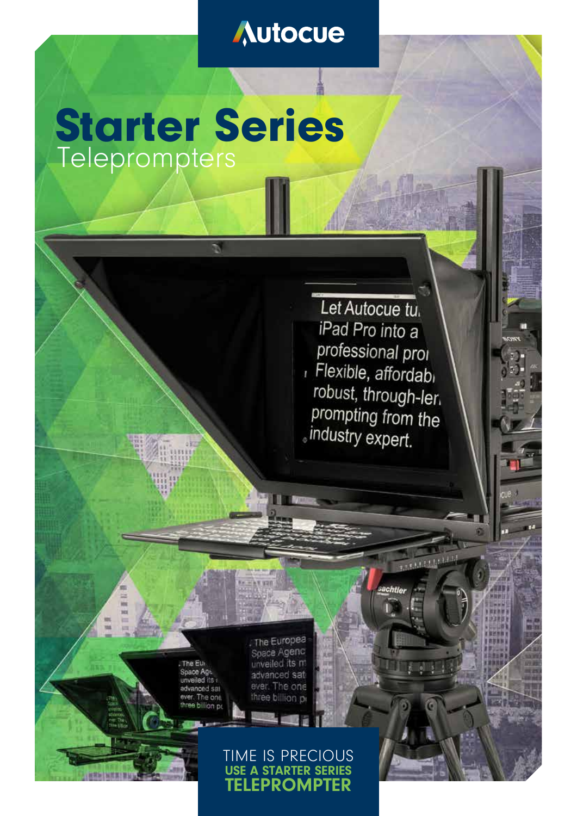## Autocue

# Starter Series **Teleprompters**

Let Autocue tu. iPad Pro into a professional proi Flexible, affordabi robust, through-ler. prompting from the . industry expert.

2,2,5,1,1,1,1,1,1,1,1

ed its advanced sat ever. The one<br>three billion pr . The Europea Suace Agenc unveiled its m advanced sat ever. The one three billion pr

## TIME IS PRECIOUS USE A STARTER SERIES TELEPROMPTER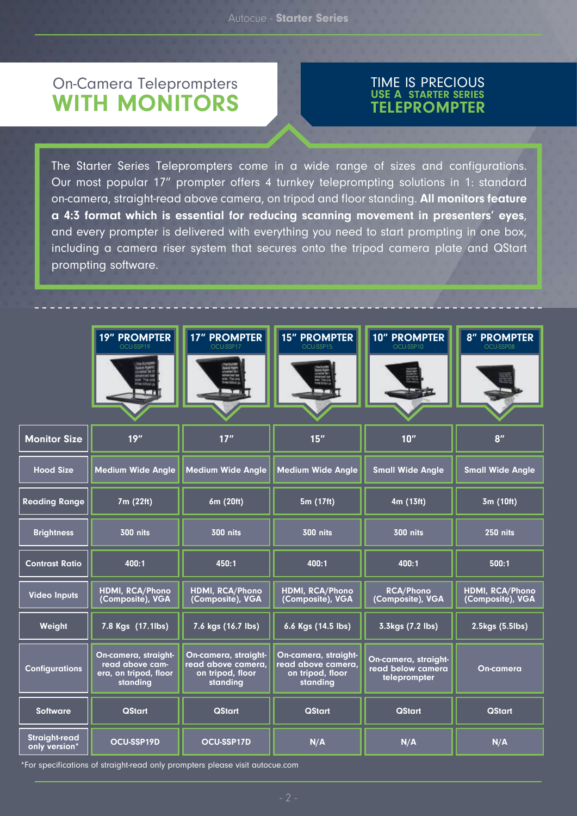## On-Camera Teleprompters WITH MONITORS

#### TIME IS PRECIOUS USE A STARTER SERIES TELEPROMPTER

The Starter Series Teleprompters come in a wide range of sizes and configurations. Our most popular 17" prompter offers 4 turnkey teleprompting solutions in 1: standard on-camera, straight-read above camera, on tripod and floor standing. All monitors feature a 4:3 format which is essential for reducing scanning movement in presenters' eyes, and every prompter is delivered with everything you need to start prompting in one box, including a camera riser system that secures onto the tripod camera plate and QStart prompting software.

|                                       | 19" PROMPTER<br>OCU-SSP19                                                    | <b>17" PROMPTER</b><br>OCU-SSP17                                           | <b>15" PROMPTER</b><br>OCU-SSP15                                           | <b>10" PROMPTER</b><br>OCU-SSP10                          | <b>8" PROMPTER</b><br>OCU-SSP08     |
|---------------------------------------|------------------------------------------------------------------------------|----------------------------------------------------------------------------|----------------------------------------------------------------------------|-----------------------------------------------------------|-------------------------------------|
| <b>Monitor Size</b>                   | 19''                                                                         | 17"                                                                        | 15''                                                                       | 10''                                                      | 8''                                 |
| <b>Hood Size</b>                      | <b>Medium Wide Angle</b>                                                     | <b>Medium Wide Angle</b>                                                   | <b>Medium Wide Angle</b>                                                   | <b>Small Wide Angle</b>                                   | <b>Small Wide Angle</b>             |
| <b>Reading Range</b>                  | 7m (22ft)                                                                    | 6m (20ft)                                                                  | 5m (17ft)                                                                  | 4m (13ft)                                                 | 3m (10ft)                           |
| <b>Brightness</b>                     | <b>300 nits</b>                                                              | <b>300 nits</b>                                                            | <b>300 nits</b>                                                            | <b>300 nits</b>                                           | <b>250 nits</b>                     |
| <b>Contrast Ratio</b>                 | 400:1                                                                        | 450:1                                                                      | 400:1                                                                      | 400:1                                                     | 500:1                               |
| <b>Video Inputs</b>                   | HDMI, RCA/Phono<br>(Composite), VGA                                          | HDMI, RCA/Phono<br>(Composite), VGA                                        | HDMI, RCA/Phono<br>(Composite), VGA                                        | <b>RCA/Phono</b><br>(Composite), VGA                      | HDMI, RCA/Phono<br>(Composite), VGA |
| Weight                                | 7.8 Kgs (17.1lbs)                                                            | 7.6 kgs (16.7 lbs)                                                         | 6.6 Kgs (14.5 lbs)                                                         | 3.3kgs (7.2 lbs)                                          | 2.5kgs (5.5lbs)                     |
| <b>Configurations</b>                 | On-camera, straight-<br>read above cam-<br>era, on tripod, floor<br>standing | On-camera, straight-<br>read above camera,<br>on tripod, floor<br>standing | On-camera, straight-<br>read above camera,<br>on tripod, floor<br>standing | On-camera, straight-<br>read below camera<br>teleprompter | <b>On-camera</b>                    |
| <b>Software</b>                       | <b>QStart</b>                                                                | <b>QStart</b>                                                              | <b>QStart</b>                                                              | <b>QStart</b>                                             | <b>QStart</b>                       |
| <b>Straight-read</b><br>only version* | OCU-SSP19D                                                                   | <b>OCU-SSP17D</b>                                                          | N/A                                                                        | N/A                                                       | N/A                                 |

\*For specifications of straight-read only prompters please visit autocue.com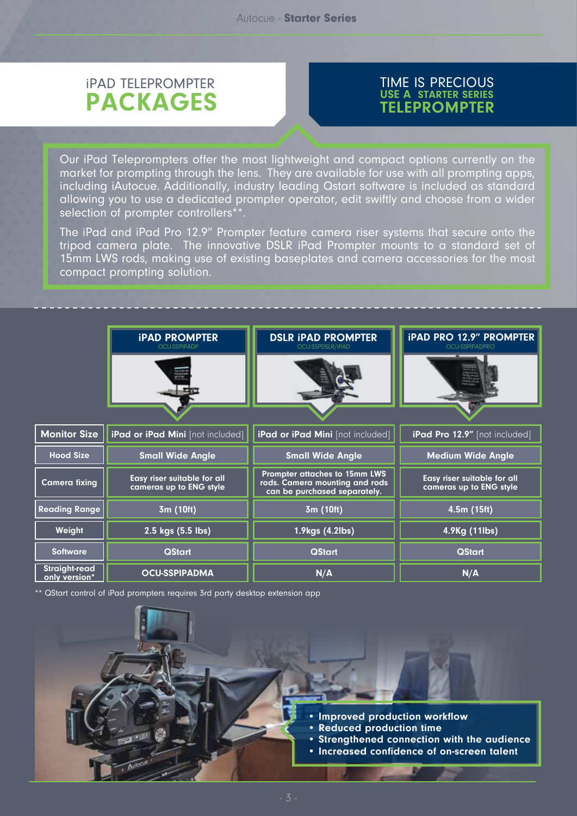## iPAD TELEPROMPTER PACKAGES

#### TIME IS PRECIOUS USE A STARTER SERIES TELEPROMPTER

Our iPad Teleprompters offer the most lightweight and compact options currently on the market for prompting through the lens. They are available for use with all prompting apps, including iAutocue. Additionally, industry leading Qstart software is included as standard allowing you to use a dedicated prompter operator, edit swiftly and choose from a wider selection of prompter controllers\*\*.

The iPad and iPad Pro 12.9" Prompter feature camera riser systems that secure onto the tripod camera plate. The innovative DSLR iPad Prompter mounts to a standard set of 15mm LWS rods, making use of existing baseplates and camera accessories for the most compact prompting solution.

|                                       | <b>IPAD PROMPTER</b><br>OCU-SSPIPADP                          | <b>DSLR IPAD PROMPTER</b><br>OCU-SSPDSLR/IPAD                                                   | <b>iPAD PRO 12.9" PROMPTER</b><br>OCU-SSPIPADPRO       |  |
|---------------------------------------|---------------------------------------------------------------|-------------------------------------------------------------------------------------------------|--------------------------------------------------------|--|
|                                       |                                                               |                                                                                                 |                                                        |  |
|                                       |                                                               |                                                                                                 |                                                        |  |
| <b>Monitor Size</b>                   | iPad or iPad Mini [not included]                              | iPad or iPad Mini [not included]                                                                | iPad Pro 12.9" [not included]                          |  |
| <b>Hood Size</b>                      | <b>Small Wide Angle</b>                                       | <b>Small Wide Angle</b>                                                                         | <b>Medium Wide Angle</b>                               |  |
| <b>Camera fixing</b>                  | <b>Easy riser suitable for all</b><br>cameras up to ENG style | Prompter attaches to 15mm LWS<br>rods. Camera mounting and rods<br>can be purchased separately. | Easy riser suitable for all<br>cameras up to ENG style |  |
| <b>Reading Range</b>                  | 3m (10ft)                                                     | 3m (10ft)                                                                                       | 4.5m (15ft)                                            |  |
| Weight                                | 2.5 kgs (5.5 lbs)                                             | 1.9kgs (4.2lbs)                                                                                 | 4.9Kg (11lbs)                                          |  |
| <b>Software</b>                       | <b>QStart</b>                                                 | <b>QStart</b>                                                                                   | <b>QStart</b>                                          |  |
| <b>Straight-read</b><br>only version* | <b>OCU-SSPIPADMA</b>                                          | N/A                                                                                             | N/A                                                    |  |

\*\* QStart control of iPad prompters requires 3rd party desktop extension app

- Improved production workflow
- Reduced production time
- Strengthened connection with the audience
- Increased confidence of on-screen talent